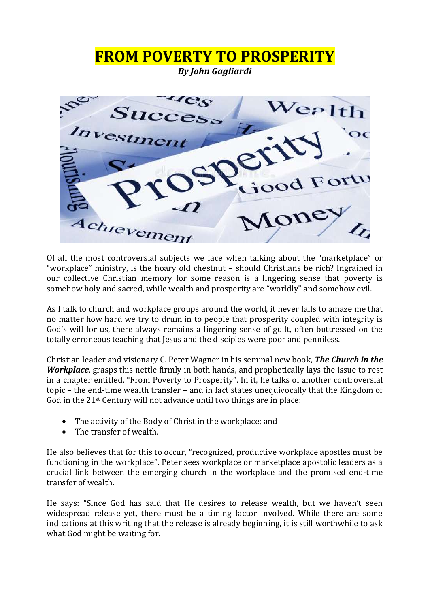

Of all the most controversial subjects we face when talking about the "marketplace" or "workplace" ministry, is the hoary old chestnut – should Christians be rich? Ingrained in our collective Christian memory for some reason is a lingering sense that poverty is somehow holy and sacred, while wealth and prosperity are "worldly" and somehow evil.

As I talk to church and workplace groups around the world, it never fails to amaze me that no matter how hard we try to drum in to people that prosperity coupled with integrity is God's will for us, there always remains a lingering sense of guilt, often buttressed on the totally erroneous teaching that Jesus and the disciples were poor and penniless.

Christian leader and visionary C. Peter Wagner in his seminal new book, *The Church in the Workplace*, grasps this nettle firmly in both hands, and prophetically lays the issue to rest in a chapter entitled, "From Poverty to Prosperity". In it, he talks of another controversial topic – the end-time wealth transfer – and in fact states unequivocally that the Kingdom of God in the 21st Century will not advance until two things are in place:

- The activity of the Body of Christ in the workplace; and
- The transfer of wealth.

He also believes that for this to occur, "recognized, productive workplace apostles must be functioning in the workplace". Peter sees workplace or marketplace apostolic leaders as a crucial link between the emerging church in the workplace and the promised end-time transfer of wealth.

He says: "Since God has said that He desires to release wealth, but we haven't seen widespread release yet, there must be a timing factor involved. While there are some indications at this writing that the release is already beginning, it is still worthwhile to ask what God might be waiting for.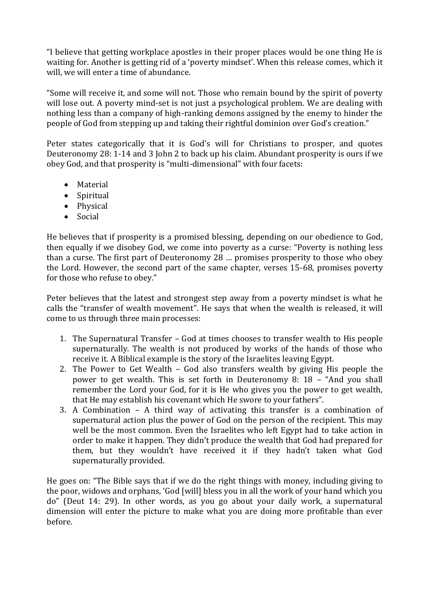"I believe that getting workplace apostles in their proper places would be one thing He is waiting for. Another is getting rid of a 'poverty mindset'. When this release comes, which it will, we will enter a time of abundance.

"Some will receive it, and some will not. Those who remain bound by the spirit of poverty will lose out. A poverty mind-set is not just a psychological problem. We are dealing with nothing less than a company of high-ranking demons assigned by the enemy to hinder the people of God from stepping up and taking their rightful dominion over God's creation."

Peter states categorically that it is God's will for Christians to prosper, and quotes Deuteronomy 28: 1-14 and 3 John 2 to back up his claim. Abundant prosperity is ours if we obey God, and that prosperity is "multi-dimensional" with four facets:

- Material
- Spiritual
- Physical
- Social

He believes that if prosperity is a promised blessing, depending on our obedience to God, then equally if we disobey God, we come into poverty as a curse: "Poverty is nothing less than a curse. The first part of Deuteronomy 28 … promises prosperity to those who obey the Lord. However, the second part of the same chapter, verses 15-68, promises poverty for those who refuse to obey."

Peter believes that the latest and strongest step away from a poverty mindset is what he calls the "transfer of wealth movement". He says that when the wealth is released, it will come to us through three main processes:

- 1. The Supernatural Transfer God at times chooses to transfer wealth to His people supernaturally. The wealth is not produced by works of the hands of those who receive it. A Biblical example is the story of the Israelites leaving Egypt.
- 2. The Power to Get Wealth God also transfers wealth by giving His people the power to get wealth. This is set forth in Deuteronomy 8: 18 – "And you shall remember the Lord your God, for it is He who gives you the power to get wealth, that He may establish his covenant which He swore to your fathers".
- 3. A Combination A third way of activating this transfer is a combination of supernatural action plus the power of God on the person of the recipient. This may well be the most common. Even the Israelites who left Egypt had to take action in order to make it happen. They didn't produce the wealth that God had prepared for them, but they wouldn't have received it if they hadn't taken what God supernaturally provided.

He goes on: "The Bible says that if we do the right things with money, including giving to the poor, widows and orphans, 'God [will] bless you in all the work of your hand which you do" (Deut 14: 29). In other words, as you go about your daily work, a supernatural dimension will enter the picture to make what you are doing more profitable than ever before.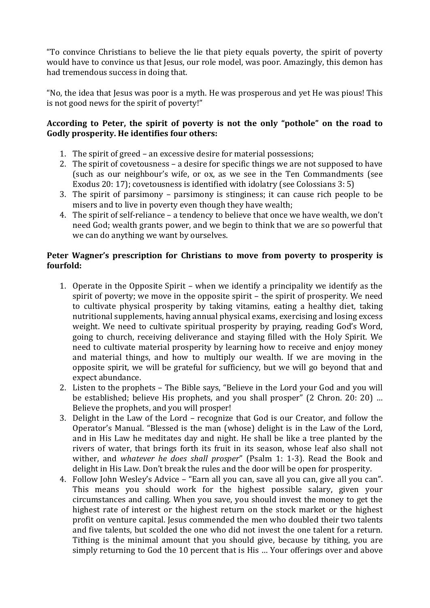"To convince Christians to believe the lie that piety equals poverty, the spirit of poverty would have to convince us that Jesus, our role model, was poor. Amazingly, this demon has had tremendous success in doing that.

"No, the idea that Jesus was poor is a myth. He was prosperous and yet He was pious! This is not good news for the spirit of poverty!"

## **According to Peter, the spirit of poverty is not the only "pothole" on the road to Godly prosperity. He identifies four others:**

- 1. The spirit of greed an excessive desire for material possessions;
- 2. The spirit of covetousness a desire for specific things we are not supposed to have (such as our neighbour's wife, or ox, as we see in the Ten Commandments (see Exodus 20: 17); covetousness is identified with idolatry (see Colossians 3: 5)
- 3. The spirit of parsimony parsimony is stinginess; it can cause rich people to be misers and to live in poverty even though they have wealth;
- 4. The spirit of self-reliance a tendency to believe that once we have wealth, we don't need God; wealth grants power, and we begin to think that we are so powerful that we can do anything we want by ourselves.

## **Peter Wagner's prescription for Christians to move from poverty to prosperity is fourfold:**

- 1. Operate in the Opposite Spirit when we identify a principality we identify as the spirit of poverty; we move in the opposite spirit – the spirit of prosperity. We need to cultivate physical prosperity by taking vitamins, eating a healthy diet, taking nutritional supplements, having annual physical exams, exercising and losing excess weight. We need to cultivate spiritual prosperity by praying, reading God's Word, going to church, receiving deliverance and staying filled with the Holy Spirit. We need to cultivate material prosperity by learning how to receive and enjoy money and material things, and how to multiply our wealth. If we are moving in the opposite spirit, we will be grateful for sufficiency, but we will go beyond that and expect abundance.
- 2. Listen to the prophets The Bible says, "Believe in the Lord your God and you will be established; believe His prophets, and you shall prosper" (2 Chron. 20: 20) … Believe the prophets, and you will prosper!
- 3. Delight in the Law of the Lord recognize that God is our Creator, and follow the Operator's Manual. "Blessed is the man (whose) delight is in the Law of the Lord, and in His Law he meditates day and night. He shall be like a tree planted by the rivers of water, that brings forth its fruit in its season, whose leaf also shall not wither, and *whatever he does shall prosper*" (Psalm 1: 1-3). Read the Book and delight in His Law. Don't break the rules and the door will be open for prosperity.
- 4. Follow John Wesley's Advice "Earn all you can, save all you can, give all you can". This means you should work for the highest possible salary, given your circumstances and calling. When you save, you should invest the money to get the highest rate of interest or the highest return on the stock market or the highest profit on venture capital. Jesus commended the men who doubled their two talents and five talents, but scolded the one who did not invest the one talent for a return. Tithing is the minimal amount that you should give, because by tithing, you are simply returning to God the 10 percent that is His … Your offerings over and above